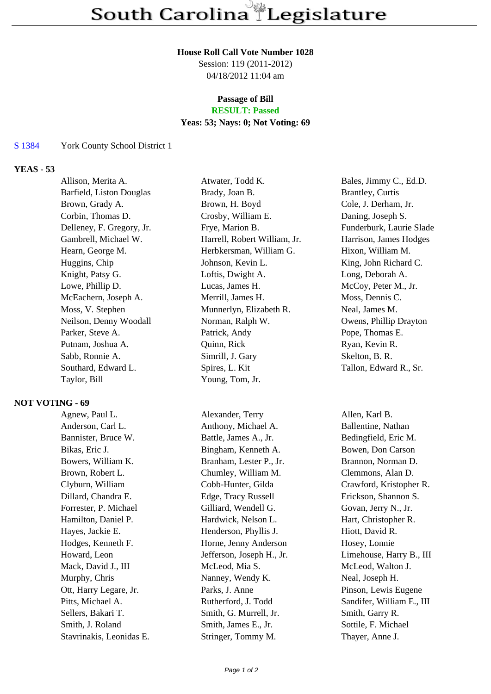#### **House Roll Call Vote Number 1028**

Session: 119 (2011-2012) 04/18/2012 11:04 am

## **Passage of Bill**

# **RESULT: Passed**

### **Yeas: 53; Nays: 0; Not Voting: 69**

#### S 1384 York County School District 1

### **YEAS - 53**

Barfield, Liston Douglas Brady, Joan B. Brantley, Curtis Brown, Grady A. Brown, H. Boyd Cole, J. Derham, Jr. Corbin, Thomas D. Crosby, William E. Daning, Joseph S. Delleney, F. Gregory, Jr. Frye, Marion B. Funderburk, Laurie Slade Gambrell, Michael W. Harrell, Robert William, Jr. Harrison, James Hodges Hearn, George M. Herbkersman, William G. Hixon, William M. Huggins, Chip Johnson, Kevin L. King, John Richard C. Knight, Patsy G. Loftis, Dwight A. Long, Deborah A. Lowe, Phillip D. Lucas, James H. McCoy, Peter M., Jr. McEachern, Joseph A. Merrill, James H. Moss, Dennis C. Moss, V. Stephen Munnerlyn, Elizabeth R. Neal, James M. Neilson, Denny Woodall Norman, Ralph W. Owens, Phillip Drayton Parker, Steve A. **Patrick, Andy** Prope, Thomas E. Putnam, Joshua A. Cuinn, Rick Ryan, Kevin R. Sabb, Ronnie A. Simrill, J. Gary Skelton, B. R. Southard, Edward L. Spires, L. Kit Tallon, Edward R., Sr. Taylor, Bill Young, Tom, Jr.

### **NOT VOTING - 69**

Agnew, Paul L. Alexander, Terry Allen, Karl B. Anderson, Carl L. **Anthony, Michael A.** Ballentine, Nathan Bannister, Bruce W. Battle, James A., Jr. Bedingfield, Eric M. Bikas, Eric J. Bingham, Kenneth A. Bowen, Don Carson Bowers, William K. Branham, Lester P., Jr. Brannon, Norman D. Brown, Robert L. Chumley, William M. Clemmons, Alan D. Clyburn, William Cobb-Hunter, Gilda Crawford, Kristopher R. Dillard, Chandra E. Edge, Tracy Russell Erickson, Shannon S. Forrester, P. Michael Gilliard, Wendell G. Govan, Jerry N., Jr. Hamilton, Daniel P. Hardwick, Nelson L. Hart, Christopher R. Hayes, Jackie E. **Henderson**, Phyllis J. **Hiott**, David R. Hodges, Kenneth F. Horne, Jenny Anderson Hosey, Lonnie Howard, Leon Jefferson, Joseph H., Jr. Limehouse, Harry B., III Mack, David J., III McLeod, Mia S. McLeod, Walton J. Murphy, Chris Nanney, Wendy K. Neal, Joseph H. Ott, Harry Legare, Jr. Parks, J. Anne Pinson, Lewis Eugene Pitts, Michael A. Rutherford, J. Todd Sandifer, William E., III Sellers, Bakari T. Smith, G. Murrell, Jr. Smith, Garry R. Smith, J. Roland Smith, James E., Jr. Sottile, F. Michael

Stavrinakis, Leonidas E. Stringer, Tommy M. Thayer, Anne J.

Allison, Merita A. **Atwater, Todd K.** Bales, Jimmy C., Ed.D.